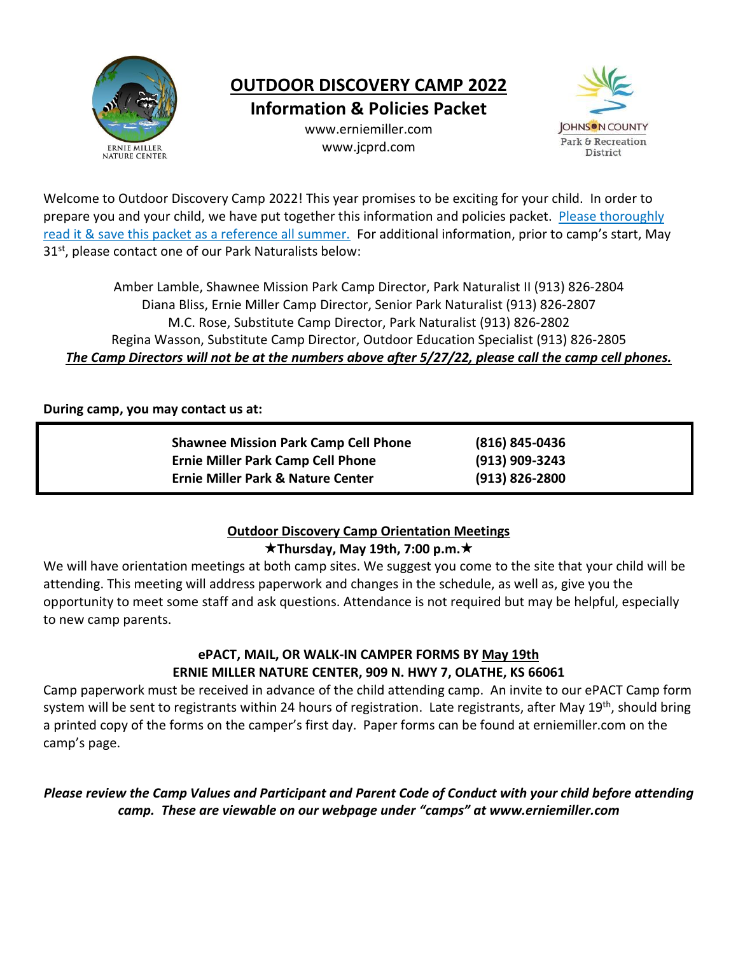

# **OUTDOOR DISCOVERY CAMP 2022**

**Information & Policies Packet**

www.erniemiller.com www.jcprd.com



Welcome to Outdoor Discovery Camp 2022! This year promises to be exciting for your child. In order to prepare you and your child, we have put together this information and policies packet. Please thoroughly read it & save this packet as a reference all summer. For additional information, prior to camp's start, May 31<sup>st</sup>, please contact one of our Park Naturalists below:

Amber Lamble, Shawnee Mission Park Camp Director, Park Naturalist II (913) 826-2804 Diana Bliss, Ernie Miller Camp Director, Senior Park Naturalist (913) 826-2807 M.C. Rose, Substitute Camp Director, Park Naturalist (913) 826-2802 Regina Wasson, Substitute Camp Director, Outdoor Education Specialist (913) 826-2805 *The Camp Directors will not be at the numbers above after 5/27/22, please call the camp cell phones.*

## **During camp, you may contact us at:**

| <b>Shawnee Mission Park Camp Cell Phone</b>  | (816) 845-0436   |
|----------------------------------------------|------------------|
| <b>Ernie Miller Park Camp Cell Phone</b>     | (913) 909-3243   |
| <b>Ernie Miller Park &amp; Nature Center</b> | $(913)$ 826-2800 |

## **Outdoor Discovery Camp Orientation Meetings**

## **Thursday, May 19th, 7:00 p.m.**

We will have orientation meetings at both camp sites. We suggest you come to the site that your child will be attending. This meeting will address paperwork and changes in the schedule, as well as, give you the opportunity to meet some staff and ask questions. Attendance is not required but may be helpful, especially to new camp parents.

## **ePACT, MAIL, OR WALK-IN CAMPER FORMS BY May 19th ERNIE MILLER NATURE CENTER, 909 N. HWY 7, OLATHE, KS 66061**

Camp paperwork must be received in advance of the child attending camp. An invite to our ePACT Camp form system will be sent to registrants within 24 hours of registration. Late registrants, after May 19<sup>th</sup>, should bring a printed copy of the forms on the camper's first day. Paper forms can be found at erniemiller.com on the camp's page.

*Please review the Camp Values and Participant and Parent Code of Conduct with your child before attending camp. These are viewable on our webpage under "camps" at www.erniemiller.com*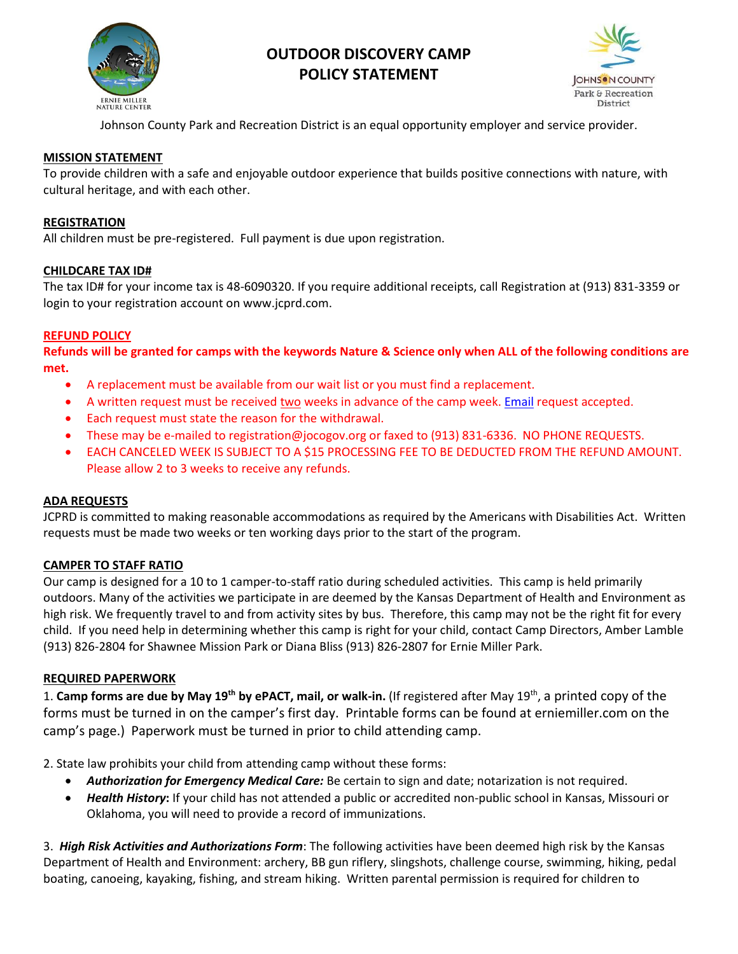

# **OUTDOOR DISCOVERY CAMP POLICY STATEMENT**



Johnson County Park and Recreation District is an equal opportunity employer and service provider.

#### **MISSION STATEMENT**

To provide children with a safe and enjoyable outdoor experience that builds positive connections with nature, with cultural heritage, and with each other.

#### **REGISTRATION**

All children must be pre-registered. Full payment is due upon registration.

#### **CHILDCARE TAX ID#**

The tax ID# for your income tax is 48-6090320. If you require additional receipts, call Registration at (913) 831-3359 or login to your registration account on www.jcprd.com.

#### **REFUND POLICY**

**Refunds will be granted for camps with the keywords Nature & Science only when ALL of the following conditions are met.**

- A replacement must be available from our wait list or you must find a replacement.
- A written request must be received two weeks in advance of the camp week. [Email](mailto:registration@jocogov.org) request accepted.
- Each request must state the reason for the withdrawal.
- These may be e-mailed to registration@jocogov.org or faxed to (913) 831-6336. NO PHONE REQUESTS.
- EACH CANCELED WEEK IS SUBJECT TO A \$15 PROCESSING FEE TO BE DEDUCTED FROM THE REFUND AMOUNT. Please allow 2 to 3 weeks to receive any refunds.

#### **ADA REQUESTS**

JCPRD is committed to making reasonable accommodations as required by the Americans with Disabilities Act. Written requests must be made two weeks or ten working days prior to the start of the program.

#### **CAMPER TO STAFF RATIO**

Our camp is designed for a 10 to 1 camper-to-staff ratio during scheduled activities. This camp is held primarily outdoors. Many of the activities we participate in are deemed by the Kansas Department of Health and Environment as high risk. We frequently travel to and from activity sites by bus. Therefore, this camp may not be the right fit for every child. If you need help in determining whether this camp is right for your child, contact Camp Directors, Amber Lamble (913) 826-2804 for Shawnee Mission Park or Diana Bliss (913) 826-2807 for Ernie Miller Park.

#### **REQUIRED PAPERWORK**

1. Camp forms are due by May 19<sup>th</sup> by ePACT, mail, or walk-in. (If registered after May 19<sup>th</sup>, a printed copy of the forms must be turned in on the camper's first day. Printable forms can be found at erniemiller.com on the camp's page.) Paperwork must be turned in prior to child attending camp.

2. State law prohibits your child from attending camp without these forms:

- *Authorization for Emergency Medical Care:* Be certain to sign and date; notarization is not required.
- *Health History***:** If your child has not attended a public or accredited non-public school in Kansas, Missouri or Oklahoma, you will need to provide a record of immunizations.

3. *High Risk Activities and Authorizations Form*: The following activities have been deemed high risk by the Kansas Department of Health and Environment: archery, BB gun riflery, slingshots, challenge course, swimming, hiking, pedal boating, canoeing, kayaking, fishing, and stream hiking. Written parental permission is required for children to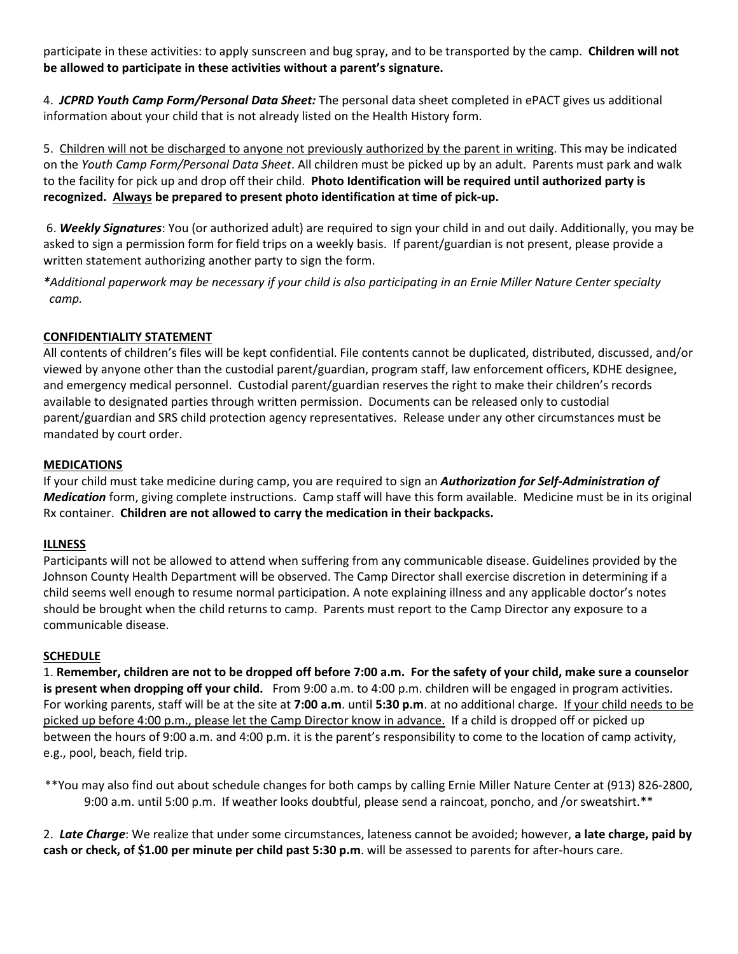participate in these activities: to apply sunscreen and bug spray, and to be transported by the camp. **Children will not be allowed to participate in these activities without a parent's signature.**

4. *JCPRD Youth Camp Form/Personal Data Sheet:* The personal data sheet completed in ePACT gives us additional information about your child that is not already listed on the Health History form.

5. Children will not be discharged to anyone not previously authorized by the parent in writing. This may be indicated on the *Youth Camp Form/Personal Data Sheet*. All children must be picked up by an adult. Parents must park and walk to the facility for pick up and drop off their child. **Photo Identification will be required until authorized party is recognized. Always be prepared to present photo identification at time of pick-up.** 

6. *Weekly Signatures*: You (or authorized adult) are required to sign your child in and out daily. Additionally, you may be asked to sign a permission form for field trips on a weekly basis. If parent/guardian is not present, please provide a written statement authorizing another party to sign the form.

*\*Additional paperwork may be necessary if your child is also participating in an Ernie Miller Nature Center specialty camp.* 

## **CONFIDENTIALITY STATEMENT**

All contents of children's files will be kept confidential. File contents cannot be duplicated, distributed, discussed, and/or viewed by anyone other than the custodial parent/guardian, program staff, law enforcement officers, KDHE designee, and emergency medical personnel. Custodial parent/guardian reserves the right to make their children's records available to designated parties through written permission. Documents can be released only to custodial parent/guardian and SRS child protection agency representatives. Release under any other circumstances must be mandated by court order.

## **MEDICATIONS**

If your child must take medicine during camp, you are required to sign an *Authorization for Self-Administration of Medication* form, giving complete instructions. Camp staff will have this form available. Medicine must be in its original Rx container. **Children are not allowed to carry the medication in their backpacks.**

## **ILLNESS**

Participants will not be allowed to attend when suffering from any communicable disease. Guidelines provided by the Johnson County Health Department will be observed. The Camp Director shall exercise discretion in determining if a child seems well enough to resume normal participation. A note explaining illness and any applicable doctor's notes should be brought when the child returns to camp. Parents must report to the Camp Director any exposure to a communicable disease.

#### **SCHEDULE**

1. **Remember, children are not to be dropped off before 7:00 a.m. For the safety of your child, make sure a counselor is present when dropping off your child.** From 9:00 a.m. to 4:00 p.m. children will be engaged in program activities. For working parents, staff will be at the site at **7:00 a.m**. until **5:30 p.m**. at no additional charge. If your child needs to be picked up before 4:00 p.m., please let the Camp Director know in advance. If a child is dropped off or picked up between the hours of 9:00 a.m. and 4:00 p.m. it is the parent's responsibility to come to the location of camp activity, e.g., pool, beach, field trip.

\*\*You may also find out about schedule changes for both camps by calling Ernie Miller Nature Center at (913) 826-2800, 9:00 a.m. until 5:00 p.m. If weather looks doubtful, please send a raincoat, poncho, and /or sweatshirt.\*\*

2. *Late Charge*: We realize that under some circumstances, lateness cannot be avoided; however, **a late charge, paid by cash or check, of \$1.00 per minute per child past 5:30 p.m**. will be assessed to parents for after-hours care.